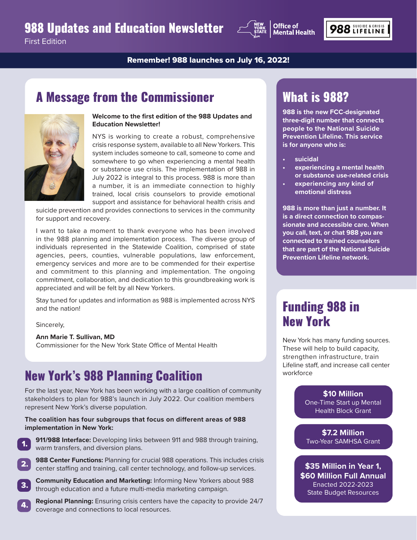### 988 Updates and Education Newsletter



First Edition

Remember! 988 launches on July 16, 2022!

### A Message from the Commissioner



**Welcome to the first edition of the 988 Updates and Education Newsletter!**

NYS is working to create a robust, comprehensive crisis response system, available to all New Yorkers. This system includes someone to call, someone to come and somewhere to go when experiencing a mental health or substance use crisis. The implementation of 988 in July 2022 is integral to this process. 988 is more than a number, it is an immediate connection to highly trained, local crisis counselors to provide emotional support and assistance for behavioral health crisis and

suicide prevention and provides connections to services in the community for support and recovery.

I want to take a moment to thank everyone who has been involved in the 988 planning and implementation process. The diverse group of individuals represented in the Statewide Coalition, comprised of state agencies, peers, counties, vulnerable populations, law enforcement, emergency services and more are to be commended for their expertise and commitment to this planning and implementation. The ongoing commitment, collaboration, and dedication to this groundbreaking work is appreciated and will be felt by all New Yorkers.

Stay tuned for updates and information as 988 is implemented across NYS and the nation!

Sincerely,

#### **Ann Marie T. Sullivan, MD**

Commissioner for the New York State Office of Mental Health

# New York's 988 Planning Coalition

For the last year, New York has been working with a large coalition of community stakeholders to plan for 988's launch in July 2022. Our coalition members represent New York's diverse population.

#### **The coalition has four subgroups that focus on different areas of 988 implementation in New York:**



3.

4.

**911/988 Interface:** Developing links between 911 and 988 through training, warm transfers, and diversion plans.

- **988 Center Functions:** Planning for crucial 988 operations. This includes crisis center staffing and training, call center technology, and follow-up services. 2.
	- **Community Education and Marketing:** Informing New Yorkers about 988 through education and a future multi-media marketing campaign.
	- **Regional Planning:** Ensuring crisis centers have the capacity to provide 24/7 coverage and connections to local resources.

# What is 988?

**988 is the new FCC-designated three-digit number that connects people to the National Suicide Prevention Lifeline. This service is for anyone who is:**

- **• suicidal**
- **• experiencing a mental health or substance use-related crisis**
- **• experiencing any kind of emotional distress**

**988 is more than just a number. It is a direct connection to compassionate and accessible care. When you call, text, or chat 988 you are connected to trained counselors that are part of the National Suicide Prevention Lifeline network.** 

### Funding 988 in New York

New York has many funding sources. These will help to build capacity, strengthen infrastructure, train Lifeline staff, and increase call center workforce

#### **\$10 Million** One-Time Start up Mental Health Block Grant

**\$7.2 Million** Two-Year SAMHSA Grant

**\$35 Million in Year 1, \$60 Million Full Annual** Enacted 2022-2023 State Budget Resources